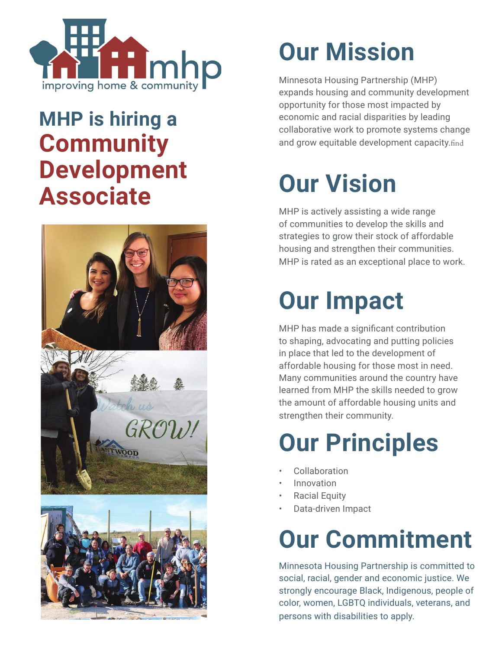

### **MHP is hiring a Community Development Associate**







## **Our Mission**

Minnesota Housing Partnership (MHP) expands housing and community development opportunity for those most impacted by economic and racial disparities by leading collaborative work to promote systems change and grow equitable development capacity.find

## **Our Vision**

MHP is actively assisting a wide range of communities to develop the skills and strategies to grow their stock of affordable housing and strengthen their communities. MHP is rated as an exceptional place to work.

### **Our Impact**

MHP has made a significant contribution to shaping, advocating and putting policies in place that led to the development of affordable housing for those most in need. Many communities around the country have learned from MHP the skills needed to grow the amount of affordable housing units and strengthen their community.

### **Our Principles**

- **Collaboration**
- **Innovation**
- Racial Equity
- Data-driven Impact

# **Our Commitment**

Minnesota Housing Partnership is committed to social, racial, gender and economic justice. We strongly encourage Black, Indigenous, people of color, women, LGBTQ individuals, veterans, and persons with disabilities to apply.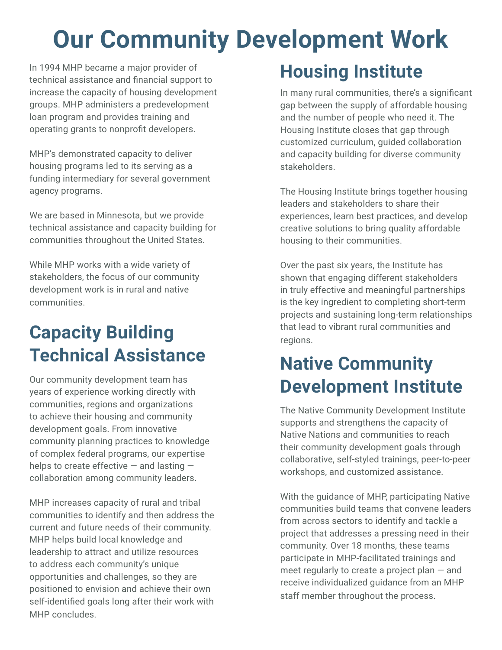## **Our Community Development Work**

In 1994 MHP became a major provider of technical assistance and financial support to increase the capacity of housing development groups. MHP administers a predevelopment loan program and provides training and operating grants to nonprofit developers.

MHP's demonstrated capacity to deliver housing programs led to its serving as a funding intermediary for several government agency programs.

We are based in Minnesota, but we provide technical assistance and capacity building for communities throughout the United States.

While MHP works with a wide variety of stakeholders, the focus of our community development work is in rural and native communities.

### **Capacity Building Technical Assistance**

Our community development team has years of experience working directly with communities, regions and organizations to achieve their housing and community development goals. From innovative community planning practices to knowledge of complex federal programs, our expertise helps to create effective  $-$  and lasting  $$ collaboration among community leaders.

MHP increases capacity of rural and tribal communities to identify and then address the current and future needs of their community. MHP helps build local knowledge and leadership to attract and utilize resources to address each community's unique opportunities and challenges, so they are positioned to envision and achieve their own self-identified goals long after their work with MHP concludes.

### **Housing Institute**

In many rural communities, there's a significant gap between the supply of affordable housing and the number of people who need it. The Housing Institute closes that gap through customized curriculum, guided collaboration and capacity building for diverse community stakeholders.

The Housing Institute brings together housing leaders and stakeholders to share their experiences, learn best practices, and develop creative solutions to bring quality affordable housing to their communities.

Over the past six years, the Institute has shown that engaging different stakeholders in truly effective and meaningful partnerships is the key ingredient to completing short-term projects and sustaining long-term relationships that lead to vibrant rural communities and regions.

### **Native Community Development Institute**

The Native Community Development Institute supports and strengthens the capacity of Native Nations and communities to reach their community development goals through collaborative, self-styled trainings, peer-to-peer workshops, and customized assistance.

With the guidance of MHP, participating Native communities build teams that convene leaders from across sectors to identify and tackle a project that addresses a pressing need in their community. Over 18 months, these teams participate in MHP-facilitated trainings and meet regularly to create a project plan — and receive individualized guidance from an MHP staff member throughout the process.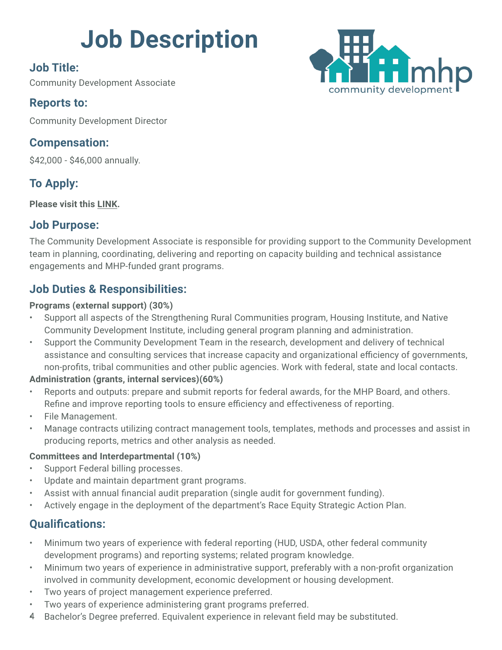# **Job Description**

#### **Job Title:**

Community Development Associate

#### **Reports to:**

Community Development Director

#### **Compensation:**

\$42,000 - \$46,000 annually.

#### **To Apply:**

**Please visit this [LINK.](https://www.paycomonline.net/v4/ats/web.php/jobs/ViewJobDetails?job=70891&clientkey=A0D22D5511502791BD146F045810A605)**

#### **Job Purpose:**

The Community Development Associate is responsible for providing support to the Community Development team in planning, coordinating, delivering and reporting on capacity building and technical assistance engagements and MHP-funded grant programs.

#### **Job Duties & Responsibilities:**

#### **Programs (external support) (30%)**

- Support all aspects of the Strengthening Rural Communities program, Housing Institute, and Native Community Development Institute, including general program planning and administration.
- Support the Community Development Team in the research, development and delivery of technical assistance and consulting services that increase capacity and organizational efficiency of governments, non-profits, tribal communities and other public agencies. Work with federal, state and local contacts.

#### **Administration (grants, internal services)(60%)**

- Reports and outputs: prepare and submit reports for federal awards, for the MHP Board, and others. Refine and improve reporting tools to ensure efficiency and effectiveness of reporting.
- File Management.
- Manage contracts utilizing contract management tools, templates, methods and processes and assist in producing reports, metrics and other analysis as needed.

#### **Committees and Interdepartmental (10%)**

- Support Federal billing processes.
- Update and maintain department grant programs.
- Assist with annual financial audit preparation (single audit for government funding).
- Actively engage in the deployment of the department's Race Equity Strategic Action Plan.

#### **Qualifications:**

- Minimum two years of experience with federal reporting (HUD, USDA, other federal community development programs) and reporting systems; related program knowledge.
- Minimum two years of experience in administrative support, preferably with a non-profit organization involved in community development, economic development or housing development.
- Two years of project management experience preferred.
- Two years of experience administering grant programs preferred.
- 4 Bachelor's Degree preferred. Equivalent experience in relevant field may be substituted.